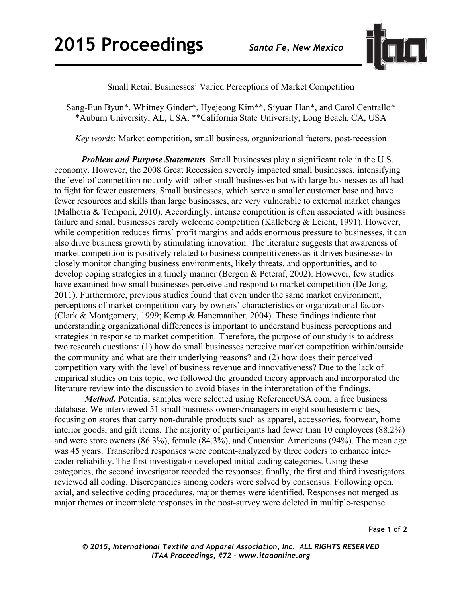

## Small Retail Businesses' Varied Perceptions of Market Competition

Sang-Eun Byun\*, Whitney Ginder\*, Hyejeong Kim\*\*, Siyuan Han\*, and Carol Centrallo\* \*Auburn University, AL, USA, \*\*California State University, Long Beach, CA, USA

*Key words*: Market competition, small business, organizational factors, post-recession

*Problem and Purpose Statements.* Small businesses play a significant role in the U.S. economy. However, the 2008 Great Recession severely impacted small businesses, intensifying the level of competition not only with other small businesses but with large businesses as all had to fight for fewer customers. Small businesses, which serve a smaller customer base and have fewer resources and skills than large businesses, are very vulnerable to external market changes (Malhotra & Temponi, 2010). Accordingly, intense competition is often associated with business failure and small businesses rarely welcome competition (Kalleberg & Leicht, 1991). However, while competition reduces firms' profit margins and adds enormous pressure to businesses, it can also drive business growth by stimulating innovation. The literature suggests that awareness of market competition is positively related to business competitiveness as it drives businesses to closely monitor changing business environments, likely threats, and opportunities, and to develop coping strategies in a timely manner (Bergen & Peteraf, 2002). However, few studies have examined how small businesses perceive and respond to market competition (De Jong, 2011). Furthermore, previous studies found that even under the same market environment, perceptions of market competition vary by owners' characteristics or organizational factors (Clark & Montgomery, 1999; Kemp & Hanemaaiher, 2004). These findings indicate that understanding organizational differences is important to understand business perceptions and strategies in response to market competition. Therefore, the purpose of our study is to address two research questions: (1) how do small businesses perceive market competition within/outside the community and what are their underlying reasons? and (2) how does their perceived competition vary with the level of business revenue and innovativeness? Due to the lack of empirical studies on this topic, we followed the grounded theory approach and incorporated the literature review into the discussion to avoid biases in the interpretation of the findings.

*Method.* Potential samples were selected using ReferenceUSA.com, a free business database. We interviewed 51 small business owners/managers in eight southeastern cities, focusing on stores that carry non-durable products such as apparel, accessories, footwear, home interior goods, and gift items. The majority of participants had fewer than 10 employees (88.2%) and were store owners (86.3%), female (84.3%), and Caucasian Americans (94%). The mean age was 45 years. Transcribed responses were content-analyzed by three coders to enhance intercoder reliability. The first investigator developed initial coding categories. Using these categories, the second investigator recoded the responses; finally, the first and third investigators reviewed all coding. Discrepancies among coders were solved by consensus. Following open, axial, and selective coding procedures, major themes were identified. Responses not merged as major themes or incomplete responses in the post-survey were deleted in multiple-response

Page **1** of **2**

*© 2015, International Textile and Apparel Association, Inc. ALL RIGHTS RESERVED ITAA Proceedings, #72 – www.itaaonline.org*